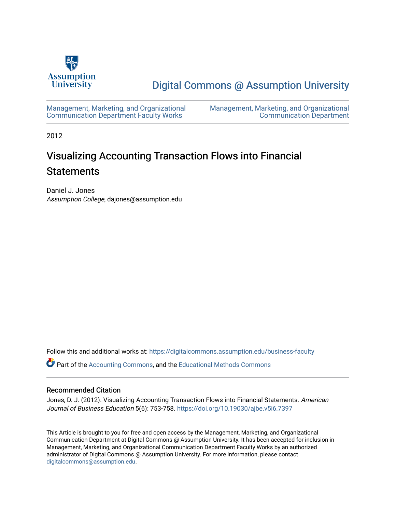

## [Digital Commons @ Assumption University](https://digitalcommons.assumption.edu/)

[Management, Marketing, and Organizational](https://digitalcommons.assumption.edu/business-faculty) [Communication Department Faculty Works](https://digitalcommons.assumption.edu/business-faculty) 

[Management, Marketing, and Organizational](https://digitalcommons.assumption.edu/business)  [Communication Department](https://digitalcommons.assumption.edu/business) 

2012

# Visualizing Accounting Transaction Flows into Financial **Statements**

Daniel J. Jones Assumption College, dajones@assumption.edu

Follow this and additional works at: [https://digitalcommons.assumption.edu/business-faculty](https://digitalcommons.assumption.edu/business-faculty?utm_source=digitalcommons.assumption.edu%2Fbusiness-faculty%2F3&utm_medium=PDF&utm_campaign=PDFCoverPages)

Part of the [Accounting Commons](http://network.bepress.com/hgg/discipline/625?utm_source=digitalcommons.assumption.edu%2Fbusiness-faculty%2F3&utm_medium=PDF&utm_campaign=PDFCoverPages), and the [Educational Methods Commons](http://network.bepress.com/hgg/discipline/1227?utm_source=digitalcommons.assumption.edu%2Fbusiness-faculty%2F3&utm_medium=PDF&utm_campaign=PDFCoverPages) 

### Recommended Citation

Jones, D. J. (2012). Visualizing Accounting Transaction Flows into Financial Statements. American Journal of Business Education 5(6): 753-758. <https://doi.org/10.19030/ajbe.v5i6.7397>

This Article is brought to you for free and open access by the Management, Marketing, and Organizational Communication Department at Digital Commons @ Assumption University. It has been accepted for inclusion in Management, Marketing, and Organizational Communication Department Faculty Works by an authorized administrator of Digital Commons @ Assumption University. For more information, please contact [digitalcommons@assumption.edu](mailto:digitalcommons@assumption.edu).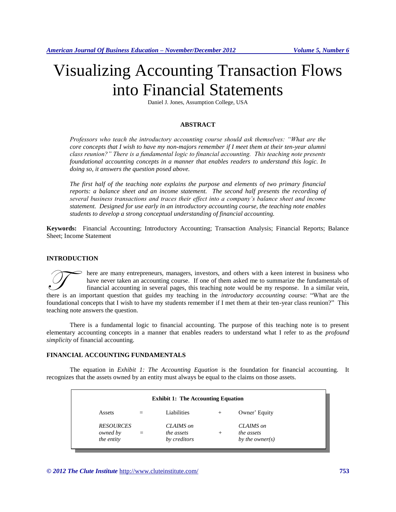# Visualizing Accounting Transaction Flows into Financial Statements

Daniel J. Jones, Assumption College, USA

#### **ABSTRACT**

*Professors who teach the introductory accounting course should ask themselves: "What are the core concepts that I wish to have my non-majors remember if I meet them at their ten-year alumni class reunion?" There is a fundamental logic to financial accounting. This teaching note presents foundational accounting concepts in a manner that enables readers to understand this logic. In doing so, it answers the question posed above.* 

*The first half of the teaching note explains the purpose and elements of two primary financial reports: a balance sheet and an income statement. The second half presents the recording of several business transactions and traces their effect into a company's balance sheet and income statement. Designed for use early in an introductory accounting course, the teaching note enables students to develop a strong conceptual understanding of financial accounting.* 

**Keywords:** Financial Accounting; Introductory Accounting; Transaction Analysis; Financial Reports; Balance Sheet; Income Statement

#### **INTRODUCTION**

here are many entrepreneurs, managers, investors, and others with a keen interest in business who have never taken an accounting course. If one of them asked me to summarize the fundamentals of financial accounting in several pages, this teaching note would be my response. In a similar vein, There are many entrepreneurs, managers, investors, and others with a keen interest in business who have never taken an accounting course. If one of them asked me to summarize the fundamentals of financial accounting in sev foundational concepts that I wish to have my students remember if I met them at their ten-year class reunion?" This teaching note answers the question.

There is a fundamental logic to financial accounting. The purpose of this teaching note is to present elementary accounting concepts in a manner that enables readers to understand what I refer to as the *profound simplicity* of financial accounting.

#### **FINANCIAL ACCOUNTING FUNDAMENTALS**

The equation in *Exhibit 1: The Accounting Equation* is the foundation for financial accounting. It recognizes that the assets owned by an entity must always be equal to the claims on those assets.

| <b>Exhibit 1: The Accounting Equation</b>  |     |                                         |        |                                            |  |  |  |  |  |
|--------------------------------------------|-----|-----------------------------------------|--------|--------------------------------------------|--|--|--|--|--|
| Assets                                     |     | Liabilities                             | $^{+}$ | Owner' Equity                              |  |  |  |  |  |
| <b>RESOURCES</b><br>owned by<br>the entity | $=$ | CLAIMS on<br>the assets<br>by creditors | $+$    | CLAIMS on<br>the assets<br>by the owner(s) |  |  |  |  |  |

*© 2012 The Clute Institute* http://www.cluteinstitute.com/ **753**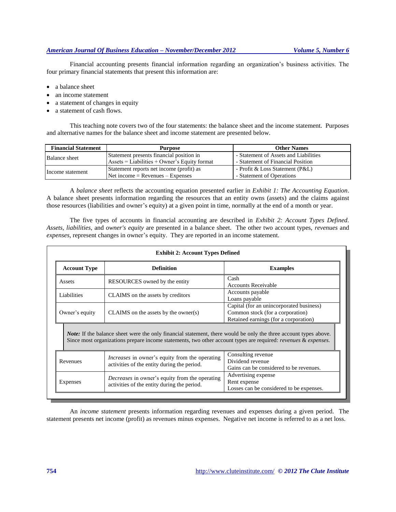#### *American Journal Of Business Education – November/December 2012 Volume 5, Number 6*

Financial accounting presents financial information regarding an organization's business activities. The four primary financial statements that present this information are:

- a balance sheet
- an income statement
- a statement of changes in equity
- a statement of cash flows.

This teaching note covers two of the four statements: the balance sheet and the income statement. Purposes and alternative names for the balance sheet and income statement are presented below.

| <b>Financial Statement</b> | <b>Purpose</b>                                                      | <b>Other Names</b>                    |  |  |  |
|----------------------------|---------------------------------------------------------------------|---------------------------------------|--|--|--|
| Balance sheet              | Statement presents financial position in                            | - Statement of Assets and Liabilities |  |  |  |
|                            | $\text{Assets} = \text{Liabilities} + \text{Owner's Equity format}$ | - Statement of Financial Position     |  |  |  |
| Income statement           | Statement reports net income (profit) as                            | - Profit & Loss Statement (P&L)       |  |  |  |
|                            | $Net income = Reverse - Expenses$                                   | - Statement of Operations             |  |  |  |

A *balance sheet* reflects the accounting equation presented earlier in *Exhibit 1: The Accounting Equation*. A balance sheet presents information regarding the resources that an entity owns (assets) and the claims against those resources (liabilities and owner's equity) at a given point in time, normally at the end of a month or year.

The five types of accounts in financial accounting are described in *Exhibit 2: Account Types Defined. Assets, liabilities*, and *owner's equity* are presented in a balance sheet. The other two account types, *revenues* and *expenses*, represent changes in owner's equity. They are reported in an income statement.

| <b>Exhibit 2: Account Types Defined</b>                                                                                                                                                                                                               |                                                       |                                                                                                                       |  |  |  |  |  |  |
|-------------------------------------------------------------------------------------------------------------------------------------------------------------------------------------------------------------------------------------------------------|-------------------------------------------------------|-----------------------------------------------------------------------------------------------------------------------|--|--|--|--|--|--|
| <b>Account Type</b>                                                                                                                                                                                                                                   | <b>Definition</b>                                     | <b>Examples</b>                                                                                                       |  |  |  |  |  |  |
| Assets                                                                                                                                                                                                                                                | RESOURCES owned by the entity                         | Cash<br><b>Accounts Receivable</b>                                                                                    |  |  |  |  |  |  |
| Liabilities                                                                                                                                                                                                                                           | CLAIMS on the assets by creditors                     | Accounts payable<br>Loans payable                                                                                     |  |  |  |  |  |  |
| Owner's equity                                                                                                                                                                                                                                        | $CLAIMS$ on the assets by the owner(s)                | Capital (for an unincorporated business)<br>Common stock (for a corporation)<br>Retained earnings (for a corporation) |  |  |  |  |  |  |
| <i>Note:</i> If the balance sheet were the only financial statement, there would be only the three account types above.<br>Since most organizations prepare income statements, two other account types are required: <i>revenues &amp; expenses</i> . |                                                       |                                                                                                                       |  |  |  |  |  |  |
| Revenues                                                                                                                                                                                                                                              | <i>Increases</i> in owner's equity from the operating | Consulting revenue<br>Dividend revenue<br>Gains can be considered to be revenues.                                     |  |  |  |  |  |  |
|                                                                                                                                                                                                                                                       | activities of the entity during the period.           |                                                                                                                       |  |  |  |  |  |  |

An *income statement* presents information regarding revenues and expenses during a given period. The statement presents net income (profit) as revenues minus expenses. Negative net income is referred to as a net loss.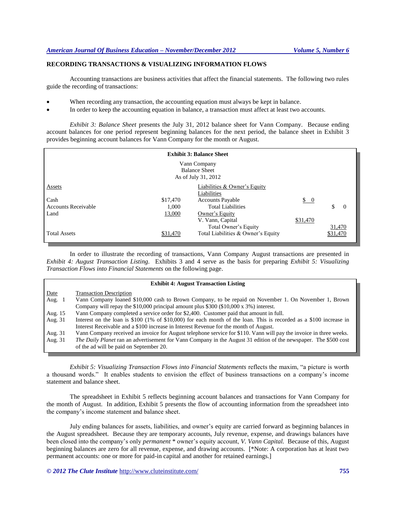#### **RECORDING TRANSACTIONS & VISUALIZING INFORMATION FLOWS**

Accounting transactions are business activities that affect the financial statements. The following two rules guide the recording of transactions:

- When recording any transaction, the accounting equation must always be kept in balance.
- In order to keep the accounting equation in balance, a transaction must affect at least two accounts.

*Exhibit 3: Balance Sheet* presents the July 31, 2012 balance sheet for Vann Company. Because ending account balances for one period represent beginning balances for the next period, the balance sheet in Exhibit 3 provides beginning account balances for Vann Company for the month or August.

| <b>Exhibit 3: Balance Sheet</b> |          |                                    |                 |                |  |  |  |  |
|---------------------------------|----------|------------------------------------|-----------------|----------------|--|--|--|--|
| Vann Company                    |          |                                    |                 |                |  |  |  |  |
| <b>Balance Sheet</b>            |          |                                    |                 |                |  |  |  |  |
| As of July 31, 2012             |          |                                    |                 |                |  |  |  |  |
| Assets                          |          | Liabilities & Owner's Equity       |                 |                |  |  |  |  |
|                                 |          | Liabilities                        |                 |                |  |  |  |  |
| Cash                            | \$17,470 | <b>Accounts Payable</b>            | $\frac{1}{2}$ 0 |                |  |  |  |  |
| <b>Accounts Receivable</b>      | 1.000    | <b>Total Liabilities</b>           |                 | \$<br>$\Omega$ |  |  |  |  |
| Land                            | 13,000   | Owner's Equity                     |                 |                |  |  |  |  |
|                                 |          | V. Vann, Capital                   | \$31,470        |                |  |  |  |  |
|                                 |          | Total Owner's Equity               |                 | 31,470         |  |  |  |  |
| <b>Total Assets</b>             | \$31,470 | Total Liabilities & Owner's Equity |                 | \$31,470       |  |  |  |  |

In order to illustrate the recording of transactions, Vann Company August transactions are presented in *Exhibit 4: August Transaction Listing.* Exhibits 3 and 4 serve as the basis for preparing *Exhibit 5: Visualizing Transaction Flows into Financial Statements* on the following page.

| <b>Exhibit 4: August Transaction Listing</b> |                                                                                                                    |  |  |  |  |  |
|----------------------------------------------|--------------------------------------------------------------------------------------------------------------------|--|--|--|--|--|
| Date                                         | <b>Transaction Description</b>                                                                                     |  |  |  |  |  |
| Aug. $1$                                     | Vann Company loaned \$10,000 cash to Brown Company, to be repaid on November 1. On November 1, Brown               |  |  |  |  |  |
|                                              | Company will repay the \$10,000 principal amount plus \$300 (\$10,000 x $3\%$ ) interest.                          |  |  |  |  |  |
| Aug. 15                                      | Vann Company completed a service order for \$2,400. Customer paid that amount in full.                             |  |  |  |  |  |
| Aug. 31                                      | Interest on the loan is \$100 (1% of \$10,000) for each month of the loan. This is recorded as a \$100 increase in |  |  |  |  |  |
|                                              | Interest Receivable and a \$100 increase in Interest Revenue for the month of August.                              |  |  |  |  |  |
| Aug. 31                                      | Vann Company received an invoice for August telephone service for \$110. Vann will pay the invoice in three weeks. |  |  |  |  |  |
| Aug. 31                                      | The Daily Planet ran an advertisement for Vann Company in the August 31 edition of the newspaper. The \$500 cost   |  |  |  |  |  |
|                                              | of the ad will be paid on September 20.                                                                            |  |  |  |  |  |

*Exhibit 5: Visualizing Transaction Flows into Financial Statements* reflects the maxim, "a picture is worth a thousand words." It enables students to envision the effect of business transactions on a company's income statement and balance sheet.

The spreadsheet in Exhibit 5 reflects beginning account balances and transactions for Vann Company for the month of August. In addition, Exhibit 5 presents the flow of accounting information from the spreadsheet into the company's income statement and balance sheet.

July ending balances for assets, liabilities, and owner's equity are carried forward as beginning balances in the August spreadsheet. Because they are temporary accounts, July revenue, expense, and drawings balances have been closed into the company's only *permanent* \* owner's equity account, *V. Vann Capital.* Because of this, August beginning balances are zero for all revenue, expense, and drawing accounts. [\*Note: A corporation has at least two permanent accounts: one or more for paid-in capital and another for retained earnings.]

*© 2012 The Clute Institute* http://www.cluteinstitute.com/ **755**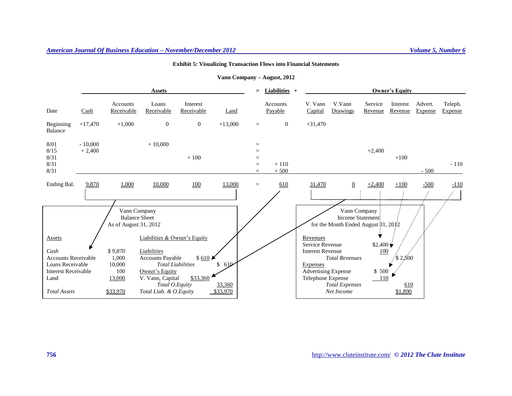#### *American Journal Of Business Education – November/December 2012 Volume 5, Number 6*

#### **Exhibit 5: Visualizing Transaction Flows into Financial Statements**

|                                                                                                                     |                       | <b>Assets</b>                                           |                                                                                                                                                       |                        |                           | $=$                             | <b>Liabilities</b> $+$     |                                                                                        | <b>Owner's Equity</b>                                        |                      |                         |                    |                    |
|---------------------------------------------------------------------------------------------------------------------|-----------------------|---------------------------------------------------------|-------------------------------------------------------------------------------------------------------------------------------------------------------|------------------------|---------------------------|---------------------------------|----------------------------|----------------------------------------------------------------------------------------|--------------------------------------------------------------|----------------------|-------------------------|--------------------|--------------------|
| Date                                                                                                                | Cash                  | Accounts<br>Receivable                                  | Loans<br>Receivable                                                                                                                                   | Interest<br>Receivable | Land                      |                                 | <b>Accounts</b><br>Payable | V. Vann<br>Capital                                                                     | V.Vann<br>Drawings                                           | Service<br>Revenue   | Interest<br>Revenue     | Advert.<br>Expense | Teleph.<br>Expense |
| Beginning<br>Balance                                                                                                | $+17,470$             | $+1,000$                                                | $\theta$                                                                                                                                              | $\mathbf{0}$           | $+13,000$                 | $\equiv$                        | $\overline{0}$             | $+31,470$                                                                              |                                                              |                      |                         |                    |                    |
| 8/01<br>8/15<br>8/31<br>8/31<br>8/31                                                                                | $-10,000$<br>$+2,400$ |                                                         | $+10,000$                                                                                                                                             | $+100$                 |                           | $=$<br>$=$<br>$=$<br>$=$<br>$=$ | $+110$<br>$+500$           |                                                                                        |                                                              | $+2,400$             | $+100$                  | $-500$             | $-110$             |
| Ending Bal.                                                                                                         | 9,870                 | 1,000                                                   | 10,000                                                                                                                                                | 100                    | 13,000                    | $\equiv$                        | $\underline{610}$          | 31,470                                                                                 | $\underline{0}$                                              | $+2,400$             | $+100$                  | $-500$             | $-110$             |
| Vann Company<br><b>Balance Sheet</b><br>As of August 31, 2012                                                       |                       |                                                         |                                                                                                                                                       |                        |                           |                                 |                            | for the Month Ended August 31, 2012                                                    | Vann Company<br>Income Statement:                            |                      |                         |                    |                    |
| Assets                                                                                                              |                       |                                                         | Liabilities & Owner's Equity                                                                                                                          |                        |                           |                                 |                            | Revenues<br>Service Revenue                                                            |                                                              | $$2,400 \rightarrow$ |                         |                    |                    |
| Cash<br><b>Accounts Receivable</b><br>Loans Receivable<br><b>Interest Receivable</b><br>Land<br><b>Total Assets</b> |                       | \$9,870<br>1,000<br>10,000<br>100<br>13,000<br>\$33,970 | Liabilities<br><b>Accounts Payable</b><br><b>Total Liabilities</b><br>Owner's Equity<br>V. Vann, Capital<br>Total O.Equity<br>Total Liab. & O. Equity | \$610<br>\$33,360      | 610<br>33,360<br>\$33,970 |                                 |                            | <b>Interest Revenue</b><br>Expenses<br><b>Advertising Expense</b><br>Telephone Expense | <b>Total Revenues</b><br><b>Total Expenses</b><br>Net Income | 100<br>\$ 500<br>110 | 2,500<br>610<br>\$1,890 |                    |                    |

#### **Vann Company – August, 2012**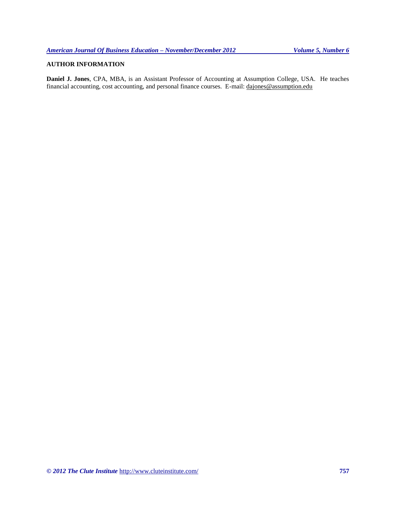## **AUTHOR INFORMATION**

**Daniel J. Jones**, CPA, MBA, is an Assistant Professor of Accounting at Assumption College, USA. He teaches financial accounting, cost accounting, and personal finance courses. E-mail: [dajones@assumption.edu](mailto:dajones@assumption.edu)